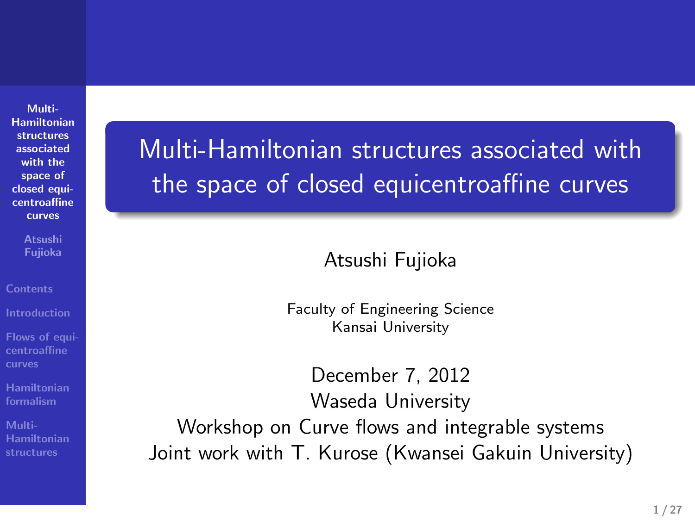**Multi-Hamiltonian structures associated with the space of closed equi-centroaffine curves**

**Atsushi Fujioka**

**Flows of equi-centroaffine curves**

**Hamiltonian formalism Hamiltonian structures** Multi-Hamiltonian structures associated with the space of closed equicentroaffine curves

Atsushi Fujioka

.. .

Faculty of Engineering Science Kansai University

December 7, 2012 Waseda University Workshop on Curve flows and integrable systems Joint work with T. Kurose (Kwansei Gakuin University)

.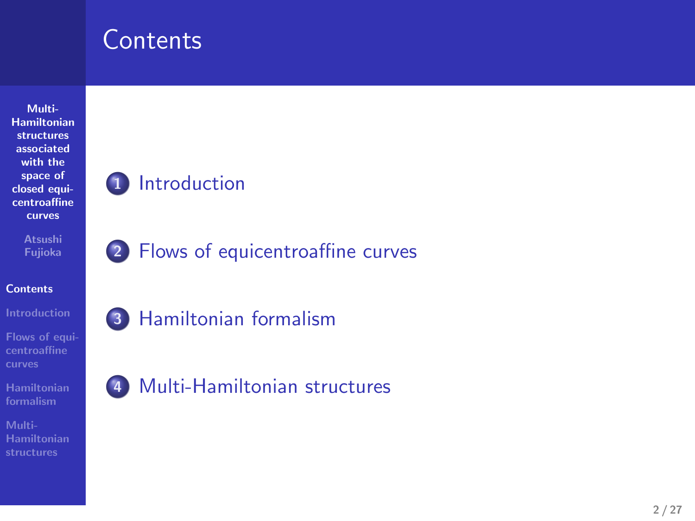### **Contents**

**Multi-Hamiltonian structures associated with the space of closed equi-centroaffine curves Atsushi Fujioka**

.

.

. .

**Contents**

**Flows of equi-centroaffine curves**

**Hamiltonian formalism**

**Multi-Hamiltonian structures**

### **1** Introduction

. **2** Flows of equicentroaffine curves

**3** Hamiltonian formalism

. **4** Multi-Hamiltonian structures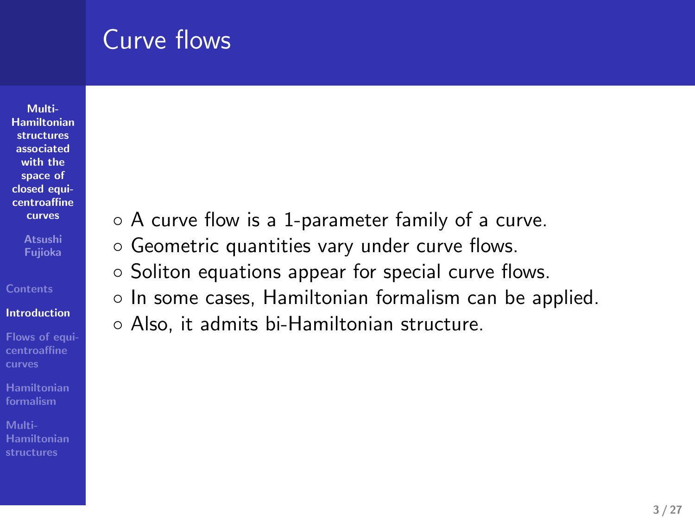### Curve flows

**Multi-Hamiltonian structures associated with the space of closed equi-centroaffine curves Atsushi Fujioka**

**Introduction**

**Flows of equi-centroaffine curves**

**Hamiltonian formalism**

**Hamiltonian structures**

- *◦* A curve flow is a 1-parameter family of a curve.
- *◦* Geometric quantities vary under curve flows.
- *◦* Soliton equations appear for special curve flows.
- *◦* In some cases, Hamiltonian formalism can be applied.
- *◦* Also, it admits bi-Hamiltonian structure.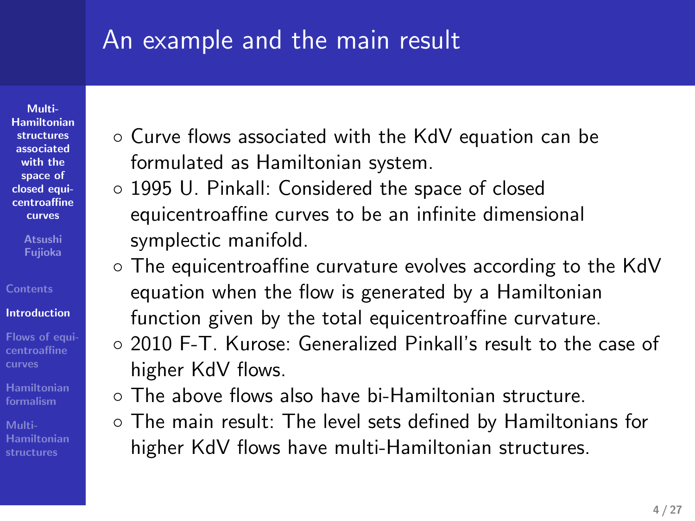### An example and the main result

**Multi-Hamiltonian structures associated with the space of closed equicentroaffine curves**

**Atsushi Fujioka**

- **Introduction**
- **Flows of equi-centroaffine**
- **Hamiltonian formalism**
- **Hamiltonian structures**
- *◦* Curve flows associated with the KdV equation can be formulated as Hamiltonian system.
- *◦* 1995 U. Pinkall: Considered the space of closed equicentroaffine curves to be an infinite dimensional symplectic manifold.
- *◦* The equicentroaffine curvature evolves according to the KdV equation when the flow is generated by a Hamiltonian function given by the total equicentroaffine curvature.
- *◦* 2010 F-T. Kurose: Generalized Pinkall's result to the case of higher KdV flows.
- *◦* The above flows also have bi-Hamiltonian structure.
- *◦* The main result: The level sets defined by Hamiltonians for higher KdV flows have multi-Hamiltonian structures.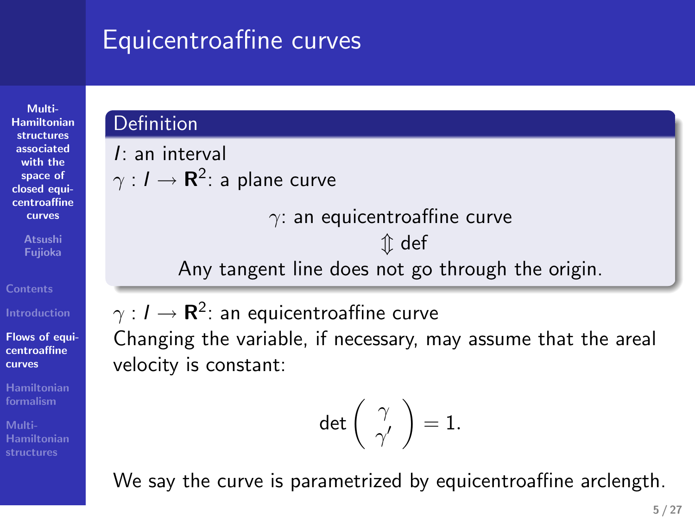### Equicentroaffine curves

**Multi-Hamiltonian structures associated with the space of closed equicentroaffine curves**

**Atsushi Fujioka**

**Flows of equi-centroaffine**

**curves**

**Hamiltonian formalism Hamiltonian structures**

### **Definition**

*I*: an interval *γ* : *I →* **R** 2 : a plane curve *γ*: an equicentroaffine curve

*m* def

Any tangent line does not go through the origin.

 $γ$  : *I*  $\rightarrow$  **R**<sup>2</sup>: an equicentroaffine curve

Changing the variable, if necessary, may assume that the areal velocity is constant:

$$
\det\left(\begin{array}{c} \gamma \\ \gamma' \end{array}\right)=1.
$$

We say the curve is parametrized by equicentroaffine arclength.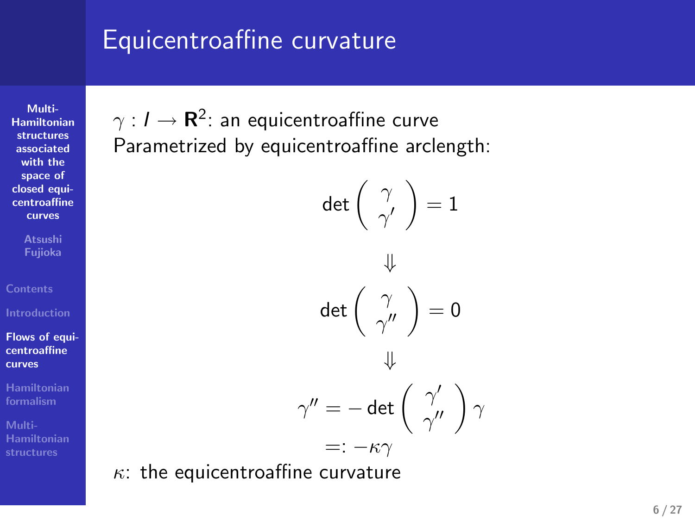### Equicentroaffine curvature

**Multi-Hamiltonian structures associated with the space of closed equi-centroaffine curves**

**Atsushi Fujioka**

**Flows of equi-centroaffine curves**

**Hamiltonian formalism Multi-Hamiltonian structures**

*γ* : *I →* **R**<sup>2</sup> : an equicentroaffine curve Parametrized by equicentroaffine arclength:

$$
\det\left(\begin{array}{c}\gamma\\\gamma'\\\gamma'\end{array}\right)=1
$$

$$
\Downarrow
$$

$$
\det\left(\begin{array}{c}\gamma\\\gamma''\\\gamma''\end{array}\right)=0
$$

$$
\Downarrow
$$

$$
\gamma'' = -\det\left(\begin{array}{c}\gamma'\\ \gamma''\end{array}\right)\gamma
$$

$$
=: -\kappa\gamma
$$

*κ*: the equicentroaffine curvature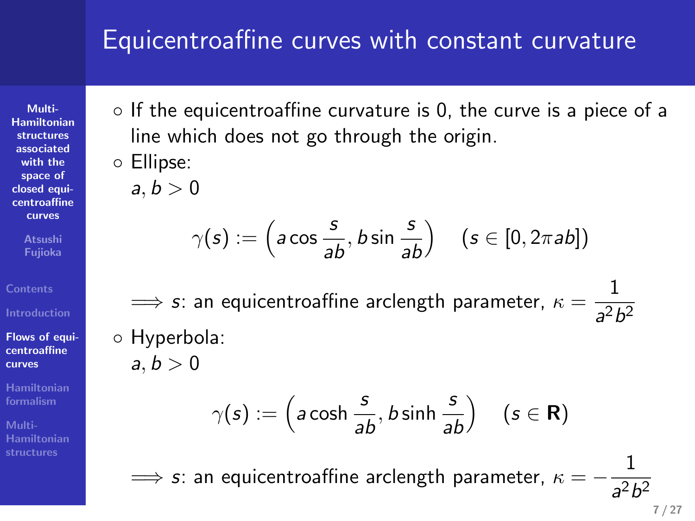### Equicentroaffine curves with constant curvature

*◦* If the equicentroaffine curvature is 0, the curve is a piece of a line which does not go through the origin.

*◦* Ellipse:  $a, b > 0$ 

**Multi-Hamiltonian structures associated with the space of closed equi-centroaffine**

**curves Atsushi Fujioka**

**Flows of equi-centroaffine curves Hamiltonian formalism**

**Hamiltonian structures**

$$
\gamma(s) := \left(a\cos\frac{s}{ab}, b\sin\frac{s}{ab}\right) \quad (s \in [0, 2\pi ab])
$$

 $\implies$  *s*: an equicentroaffine arclength parameter,  $\kappa = \frac{1}{2\pi}$  $a^2b^2$ 

*◦* Hyperbola:

 $a, b > 0$ 

$$
\gamma(s) := \left(a \cosh \frac{s}{ab}, b \sinh \frac{s}{ab}\right) \quad (s \in \mathbf{R})
$$

=*⇒ s*: an equicentroaffine arclength parameter, *κ* = *−* 1 *a* 2*b* 2

$$
^{2}D^{2}
$$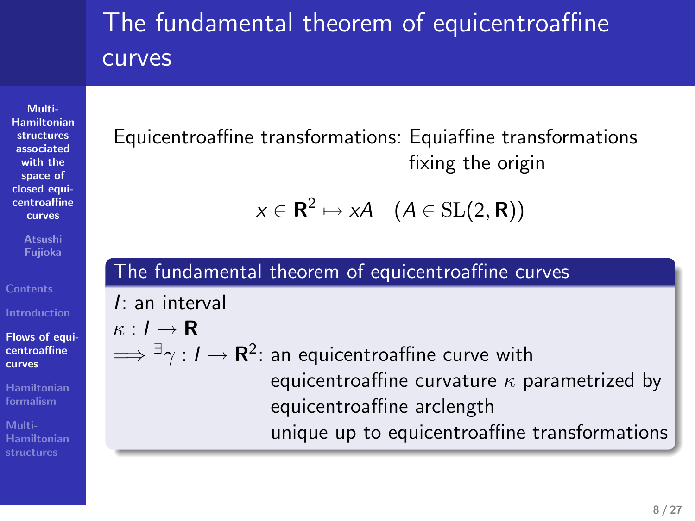### The fundamental theorem of equicentroaffine curves

**Multi-Hamiltonian structures associated with the space of closed equi-centroaffine curves**

**Atsushi Fujioka**

**Flows of equi-centroaffine curves**

**Hamiltonian formalism Hamiltonian structures** Equicentroaffine transformations: Equiaffine transformations fixing the origin

$$
x\in\mathbf{R}^2\mapsto xA\quad (A\in\mathrm{SL}(2,\mathbf{R}))
$$

### The fundamental theorem of equicentroaffine curves *I*: an interval *κ* : *I →* **R** =*⇒ ∃γ* : *I →* **R** 2 : an equicentroaffine curve with equicentroaffine curvature *κ* parametrized by equicentroaffine arclength unique up to equicentroaffine transformations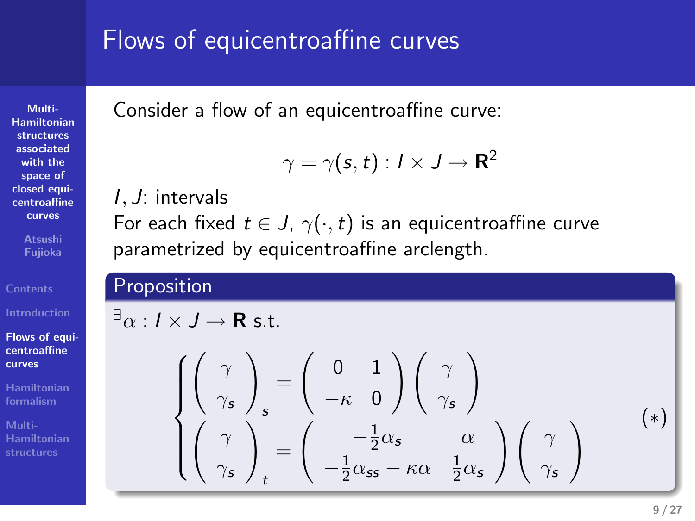### Flows of equicentroaffine curves

Consider a flow of an equicentroaffine curve:

$$
\gamma = \gamma(\boldsymbol{s},t): I \times J \rightarrow \mathbf{R}^2
$$

### *I, J*: intervals

For each fixed  $t \in J$ ,  $\gamma(\cdot,t)$  is an equicentroaffine curve Payes of equicentroaffine curves<br>
Consider a floor of an equicentroaffine curves<br>  $\tau_2 = \tau(s, 1)$ ,  $f \times J = \mathbb{R}^2$ <br>
For exchibed. If  $\in \mathcal{A}(s, 1)$ , if since suite curves<br>
For exchibed. If  $\in \mathcal{A}(s, 1)$ , is an explorati Flows of equipment<br>consider a too of an equipmentariline curves<br> $\gamma = \gamma(\kappa, t) : t \neq t^{-1}$ <br> $\gamma = \gamma(\kappa, t) : t \neq t^{-1}$ <br>For each fixed  $r \in J$ ,  $\gamma(\cdot, t)$  is an equipmentariline curve<br>parametized by equipmentariline solength.<br>Proposi

## **Flows of equi-centroaffine**

**Multi-Hamiltonian structures associated with the space of closed equicentroaffine curves Atsushi Fujioka**

**curves Hamiltonian formalism**

**Hamiltonian structures**

Flows of equicant<br>radius cluve is a spicewood in caves.<br>
Consider a fixed of an exploration correction<br>  $L$  . At interest  $S = \gamma(s, t) \times 1 \to \mathbb{R}^2$ <br>  $L$  . At interest<br>  $L$  and  $\mathbb{R}^2 \times \{s\} \times \{s\}$  is a conjunctual<br>  $\text$  $\begin{cases} \begin{pmatrix} \gamma \\ \gamma_s \end{pmatrix}_s = \begin{pmatrix} 0 & 1 \\ -\kappa & 0 \end{pmatrix} \begin{pmatrix} \gamma \\ \gamma_s \end{pmatrix} \\ \begin{pmatrix} \gamma \\ \gamma_s \end{pmatrix}_t = \begin{pmatrix} -\frac{1}{2}\alpha_s & \alpha \\ -\frac{1}{2}\alpha_{ss} - \kappa\alpha & \frac{1}{2}\alpha_s \end{pmatrix} \begin{pmatrix} \gamma \\ \gamma_s \end{pmatrix} \end{cases} (*)$ 0 1 *−κ* 0  $\binom{\gamma}{\gamma_s}$  $\begin{pmatrix} \gamma \\ \gamma_s \end{pmatrix}$ *t* =  $\int \frac{-\frac{1}{2}\alpha_s}{\alpha}$  $-\frac{1}{2}\alpha_{ss} - \kappa\alpha \quad \frac{1}{2}\alpha_s$  $\binom{\gamma}{\gamma_s}$ ( *∗* )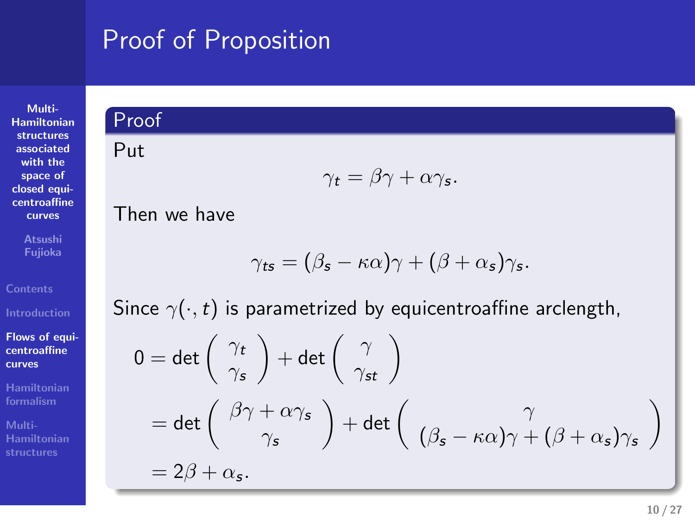# Proof of Proposition . Proof of Proposition<br>Proof of Proposition<br>Proof

# **Multi-Hamiltonian structures associated with the space of closed equi-centroaffine curves**

**Atsushi Fujioka**

**Flows of equi-centroaffine curves**

**Hamiltonian formalism Multi-Hamiltonian structures**

# Put

$$
\gamma_t = \beta \gamma + \alpha \gamma_s.
$$

Then we have

$$
\gamma_{\text{ts}} = (\beta_{\text{s}} - \kappa \alpha)\gamma + (\beta + \alpha_{\text{s}})\gamma_{\text{s}}.
$$

Since  $\gamma(\cdot,t)$  is parametrized by equicentroaffine arclength,

$$
0 = det\begin{pmatrix} \gamma_t \\ \gamma_s \end{pmatrix} + det\begin{pmatrix} \gamma \\ \gamma_{st} \end{pmatrix}
$$
  
= det\begin{pmatrix} \beta\gamma + \alpha\gamma\_s \\ \gamma\_s \end{pmatrix} + det\begin{pmatrix} \gamma \\ (\beta\_s - \kappa\alpha)\gamma + (\beta + \alpha\_s)\gamma\_s \end{pmatrix}  
= 2\beta + \alpha\_s.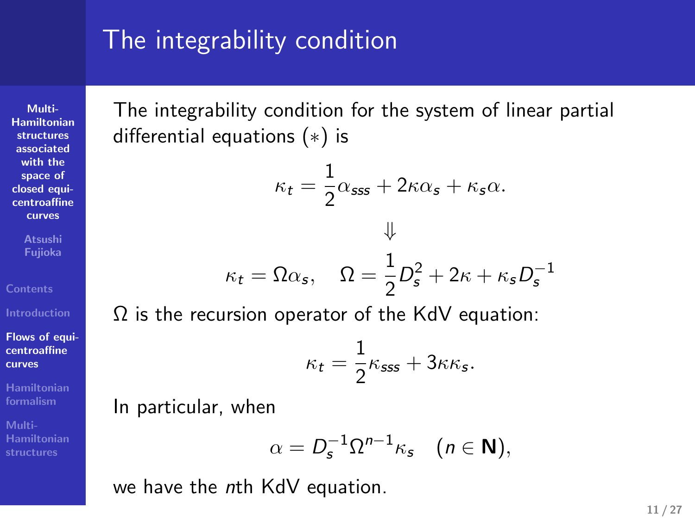### The integrability condition

**Multi-Hamiltonian structures associated with the space of closed equi-centroaffine curves**

**Atsushi Fujioka**

**Flows of equi-centroaffine curves**

**Hamiltonian formalism**

**Hamiltonian structures**

The integrability condition for the system of linear partial differential equations (*∗*) is

$$
\kappa_t = \frac{1}{2}\alpha_{\text{sss}} + 2\kappa\alpha_s + \kappa_s\alpha.
$$

$$
\Downarrow
$$

$$
\kappa_t = \Omega\alpha_s, \quad \Omega = \frac{1}{2}D_s^2 + 2\kappa + \kappa_s D_s^{-1}
$$

Ω is the recursion operator of the KdV equation:

$$
\kappa_t = \frac{1}{2}\kappa_{\text{sss}} + 3\kappa\kappa_{\text{s}}.
$$

In particular, when

$$
\alpha=D_s^{-1}\Omega^{n-1}\kappa_s\quad(n\in\mathbf{N}),
$$

we have the *n*th KdV equation.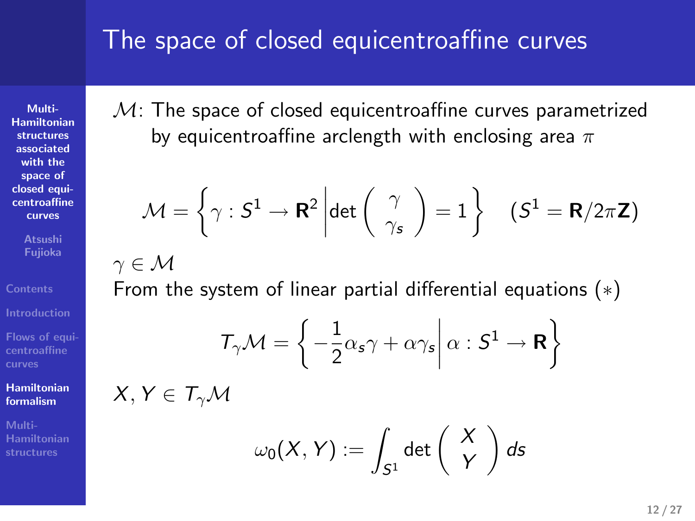### The space of closed equicentroaffine curves

**Multi-Hamiltonian structures associated with the space of closed equi-centroaffine curves**

**Atsushi Fujioka**

**Flows of equi-centroaffine curves**

**Hamiltonian formalism**

**Multi-Hamiltonian structures**

### *M*: The space of closed equicentroaffine curves parametrized by equicentroaffine arclength with enclosing area *π*

$$
\mathcal{M} = \left\{ \gamma : S^1 \to \mathbf{R}^2 \middle| \det \left( \begin{array}{c} \gamma \\ \gamma_s \end{array} \right) = 1 \right\} \quad (S^1 = \mathbf{R}/2\pi \mathbf{Z})
$$

*γ ∈ M*

From the system of linear partial differential equations (*∗*)

$$
\mathcal{T}_{\gamma}\mathcal{M}=\bigg\{-\frac{1}{2}\alpha_{s}\gamma+\alpha\gamma_{s}\bigg|\,\alpha:\mathcal{S}^{1}\rightarrow\mathbf{R}\bigg\}
$$

 $X, Y \in T_\gamma \mathcal{M}$ 

$$
\omega_0(X,Y) := \int_{S^1} \det \left( \begin{array}{c} X \\ Y \end{array} \right) ds
$$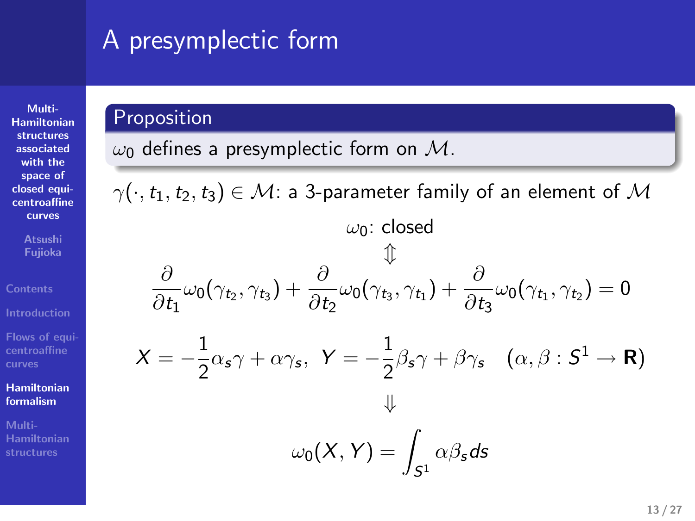### A presymplectic form

**Multi-Hamiltonian structures associated with the space of closed equi-centroaffine curves**

**Atsushi Fujioka**

**Flows of equi-centroaffine curves**

**Hamiltonian formalism Multi-Hamiltonian structures**

### Proposition

*ω*<sup>0</sup> defines a presymplectic form on *M*.

 $\cdot$   $\gamma(\cdot, t_1, t_2, t_3) \in \mathcal{M}$ : a 3-parameter family of an element of  $\mathcal{M}$ 

$$
\omega_0: \text{ closed}
$$

$$
\Downarrow
$$

$$
\frac{\partial}{\partial t_1} \omega_0(\gamma_{t_2}, \gamma_{t_3}) + \frac{\partial}{\partial t_2} \omega_0(\gamma_{t_3}, \gamma_{t_1}) + \frac{\partial}{\partial t_3} \omega_0(\gamma_{t_1}, \gamma_{t_2}) = 0
$$

$$
X = -\frac{1}{2} \alpha_s \gamma + \alpha \gamma_s, \quad Y = -\frac{1}{2} \beta_s \gamma + \beta \gamma_s \quad (\alpha, \beta: S^1 \to \mathbf{R})
$$

$$
\Downarrow
$$
  

$$
\omega_0(X,Y) = \int \alpha \beta_s ds
$$

*S*1

.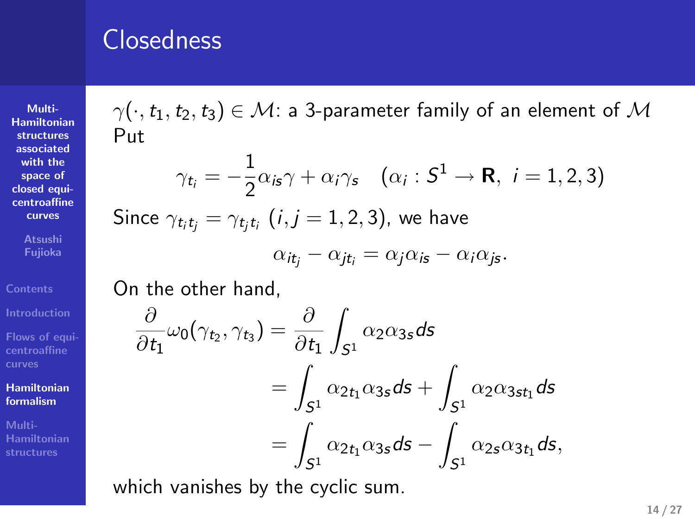### Closedness

**Multi-Hamiltonian structures associated with the space of closed equi-centroaffine curves Atsushi Fujioka**

**Flows of equi-centroaffine curves Hamiltonian**

**formalism Multi-**

**Hamiltonian structures**

 $\gamma(\cdot, t_1, t_2, t_3) \in \mathcal{M}$ : a 3-parameter family of an element of  $\mathcal{M}$ Put

$$
\gamma_{t_i} = -\frac{1}{2}\alpha_{is}\gamma + \alpha_i\gamma_s \quad (\alpha_i : S^1 \to \mathbf{R}, i = 1, 2, 3)
$$

 $\textsf{Since}\ \gamma_{t_it_j}=\gamma_{t_jt_i}\ (i,j=1,2,3),\ \textsf{we have}$ 

$$
\alpha_{it_j} - \alpha_{jt_i} = \alpha_j \alpha_{is} - \alpha_i \alpha_{js}.
$$

On the other hand,

$$
\frac{\partial}{\partial t_1}\omega_0(\gamma_{t_2}, \gamma_{t_3}) = \frac{\partial}{\partial t_1} \int_{S^1} \alpha_2 \alpha_{3s} ds
$$
  
= 
$$
\int_{S^1} \alpha_{2t_1} \alpha_{3s} ds + \int_{S^1} \alpha_2 \alpha_{3st_1} ds
$$
  
= 
$$
\int_{S^1} \alpha_{2t_1} \alpha_{3s} ds - \int_{S^1} \alpha_{2s} \alpha_{3t_1} ds,
$$

which vanishes by the cyclic sum.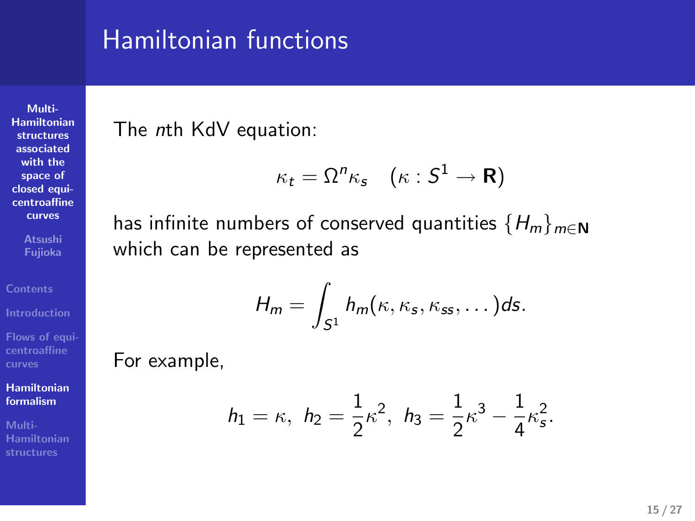### Hamiltonian functions

The *n*th KdV equation:

$$
\kappa_t = \Omega^n \kappa_s \quad (\kappa : S^1 \to \mathbf{R})
$$

has infinite numbers of conserved quantities *{Hm}m∈***<sup>N</sup>** which can be represented as

$$
H_m=\int_{S^1}h_m(\kappa,\kappa_s,\kappa_{ss},\dots)ds.
$$

For example,

**Multi-Hamiltonian structures associated with the space of closed equi-centroaffine**

**curves Atsushi Fujioka**

**Flows of equi-centroaffine curves**

**Hamiltonian formalism**

**Multi-Hamiltonian structures**

$$
h_1 = \kappa
$$
,  $h_2 = \frac{1}{2}\kappa^2$ ,  $h_3 = \frac{1}{2}\kappa^3 - \frac{1}{4}\kappa_s^2$ .

**15 / 27**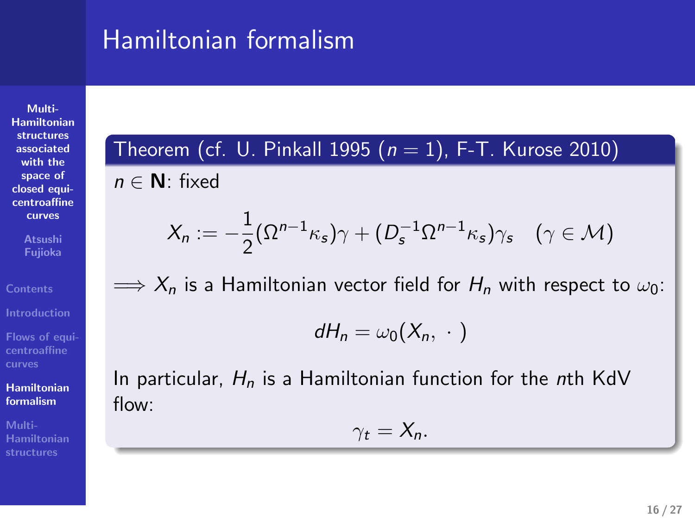### Hamiltonian formalism

**Multi-Hamiltonian structures associated with the space of closed equi-centroaffine**

**curves Atsushi Fujioka**

**Flows of equi-centroaffine curves**

**Hamiltonian formalism**

**Multi-Hamiltonian structures**

Theorem (cf. U. Pinkall 1995 (*n* = 1), F-T. Kurose 2010)

*n ∈* **N**: fixed

$$
X_n := -\frac{1}{2} (\Omega^{n-1} \kappa_s) \gamma + (D_s^{-1} \Omega^{n-1} \kappa_s) \gamma_s \quad (\gamma \in \mathcal{M})
$$

 $\implies$  *X*<sub>n</sub> is a Hamiltonian vector field for  $H_n$  with respect to  $\omega_0$ :

 $dH_n = \omega_0(X_n, \cdot)$ 

In particular, *H<sup>n</sup>* is a Hamiltonian function for the *n*th KdV flow:

 $\gamma_t = X_n$ *.* 

.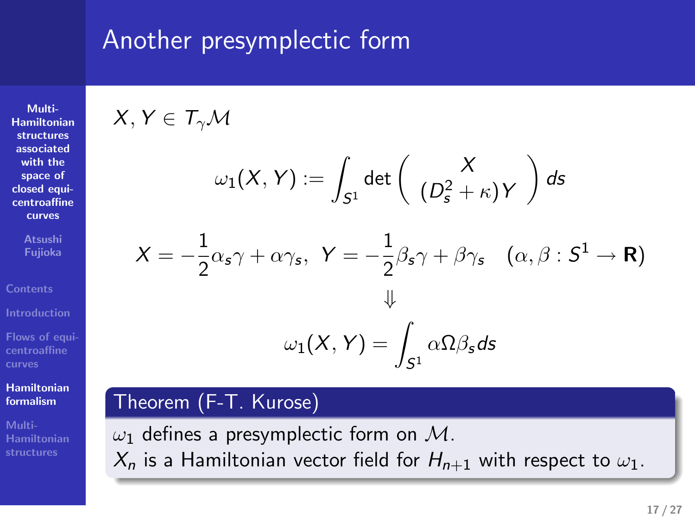### Another presymplectic form

**Multi-Hamiltonian structures associated with the space of closed equi-centroaffine curves**

**Atsushi Fujioka**

**Flows of equi-centroaffine curves**

**Hamiltonian formalism**

**Multi-Hamiltonian structures**

 $X, Y \in T_\gamma \mathcal{M}$ 

$$
\omega_1(X,Y) := \int_{S^1} \det \left( \begin{array}{c} X \\ (D_s^2 + \kappa) Y \end{array} \right) ds
$$

Another presymplectic form  
\n
$$
X, Y \in T_{\gamma} \mathcal{M}
$$
\n
$$
\omega_1(X, Y) := \int_{S^2} \det \left( \frac{(\rho_2^X \cdot k)}{(\rho_2^X + k)Y} \right) ds
$$
\n
$$
X = -\frac{1}{2} \alpha_2 \gamma + \alpha \gamma_5, \quad Y = -\frac{1}{2} \beta_2 \gamma + \beta \gamma_5 \quad (\alpha, \beta : S^1 \to \mathbb{R})
$$
\n
$$
\downarrow 2 \left\{ (X, Y) = \int_{S^1} \alpha \Omega \beta_2 ds \right\}
$$
\nTheorem (F-T. Kuresc)

\n
$$
\omega_2
$$
 defines a presymplectic form on  $\mathcal{M}$ .\n
$$
X_0
$$
 is a Hamiltonian vector field for  $H_{0+1}$  with respect to  $\omega_1$ .

 $ω_1$  defines a presymplectic form on *M*.<br>*X<sub>n</sub>* is a Hamiltonian vector field for *H<sub>n+1</sub>* with respect to  $ω_1$ .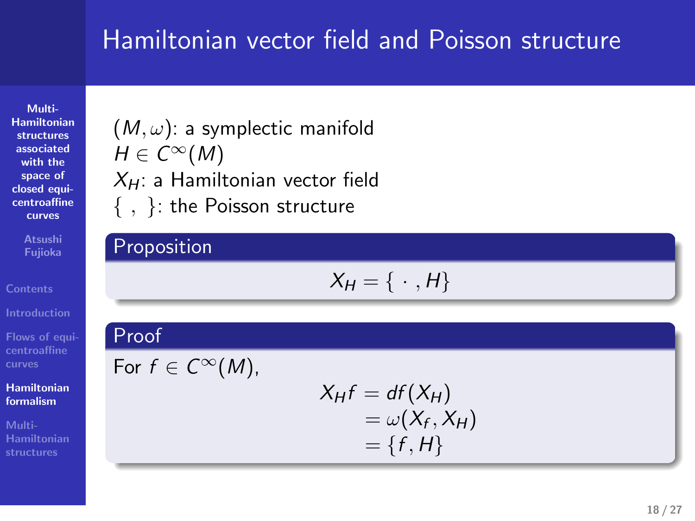### Hamiltonian vector field and Poisson structure

**Multi-Hamiltonian structures associated with the space of closed equi-centroaffine curves**

**Atsushi Fujioka**

(*M, ω*): a symplectic manifold  $H \in C^{\infty}(M)$ *XH*: a Hamiltonian vector field *{ , }*: the Poisson structure

### Proposition

 $X_H = \{ \cdot , H \}$ 

**Flows of equi-centroaffine curves Hamiltonian formalism Multi-Hamiltonian structures** .  $-1, m_1$ Proof For  $f \in C^{\infty}(M)$ ,  $X_H f = df(X_H)$  $=\omega(X_f, X_H)$  $= \{f, H\}$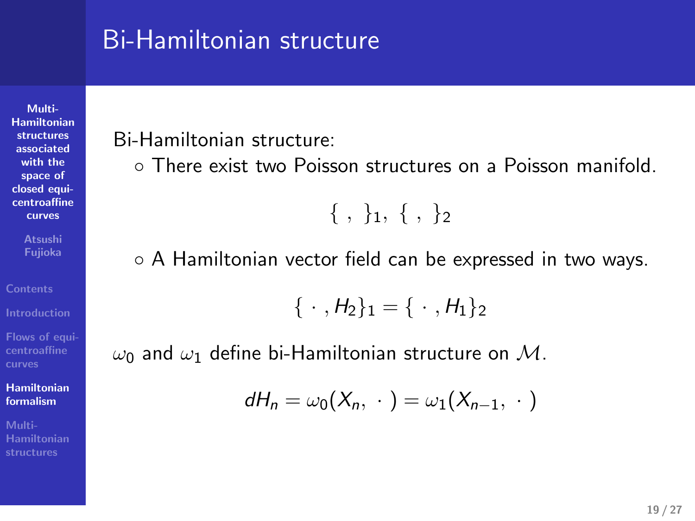### Bi-Hamiltonian structure

Bi-Hamiltonian structure:

**Multi-Hamiltonian structures associated with the space of closed equi-centroaffine**

**curves Atsushi Fujioka**

**Flows of equi-centroaffine curves**

**Hamiltonian formalism**

**Multi-Hamiltonian structures**

*◦* There exist two Poisson structures on a Poisson manifold.

*{ , }*1*, { , }*<sup>2</sup>

*◦* A Hamiltonian vector field can be expressed in two ways.

 $\{\cdot, H_2\}_1 = \{\cdot, H_1\}_2$ 

*ω*<sup>0</sup> and *ω*<sup>1</sup> define bi-Hamiltonian structure on *M*.

$$
dH_n=\omega_0(X_n,\,\cdot\,)=\omega_1(X_{n-1},\,\cdot\,)
$$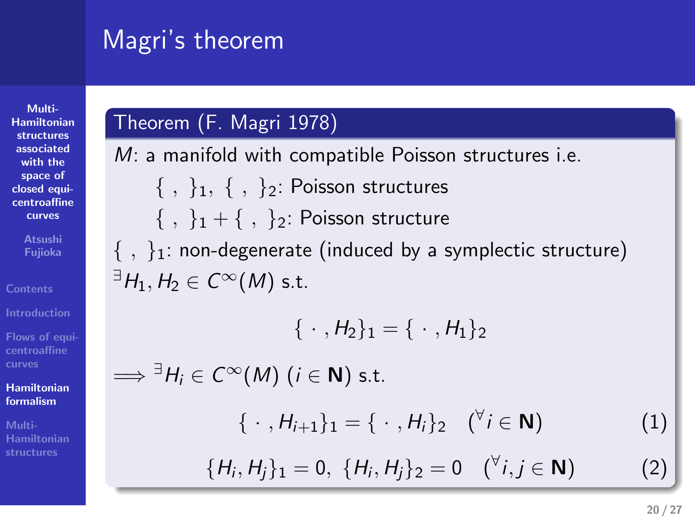# Magri's theorem . Magri's theorem<br>
Theorem (F. Magri 1978)<br>
Theorem (F. Magri 1978)

**Multi-Hamiltonian structures associated with the space of closed equicentroaffine curves**

**Atsushi Fujioka**

**Flows of equi-centroaffine curves**

**Hamiltonian formalism Multi-Hamiltonian structures**

# . .

*M*: a manifold with compatible Poisson structures i.e.<br>
{, }<sub>1</sub>, {, }<sub>2</sub>: Poisson structures<br>
{, }<sub>1</sub> + {, }<sub>2</sub>: Poisson structure<br>
{, }<sub>1</sub> : non-degenerate (induced by a symplectic structure)<br>  $\exists H_1, H_2 \in C^{\infty}(M)$  s.t.

$$
\{\,\cdot\,,H_2\}_1=\{\,\cdot\,,H_1\}_2
$$

 $\implies$   $\exists H_i \in C^\infty(M) \ (i \in \mathbb{N}) \text{ s.t.}$ 

$$
\{\ \cdot\ ,H_{i+1}\}_1=\{\ \cdot\ ,H_i\}_2\quad (\forall\, i\in\mathbf{N})\tag{1}
$$

$$
\{H_i, H_j\}_1 = 0, \ \{H_i, H_j\}_2 = 0 \quad (\forall i, j \in \mathbf{N}) \tag{2}
$$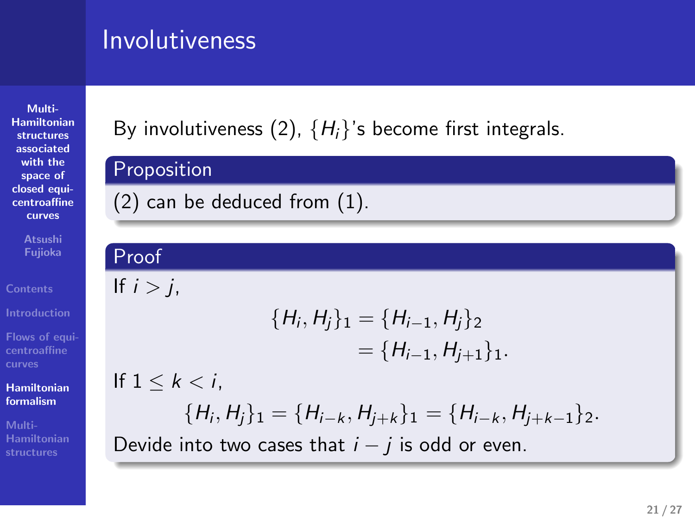### Involutiveness

**Multi-Hamiltonian structures associated with the space of closed equi-centroaffine**

**curves Atsushi Fujioka**

**Introduction Flows of equi-**

**Contents**

**centroaffine Hamiltonian formalism**

**Multi-Hamiltonian structures**

By involutiveness (2), *{ H i }*'s become first integrals. .  $\begin{split} & \text{ivolutions} \ & \text{[1]} \ & \text{[1]} \ & \text{[1]} \ & \text{[1]} \ & \text{[1]} \ & \text{[1]} \ & \text{[1]} \ & \text{[1]} \ & \text{[1]} \ & \text{[1]} \ & \text{[1]} \ & \text{[1]} \ & \text{[1]} \ & \text{[1]} \ & \text{[1]} \ & \text{[1]} \ & \text{[1]} \ & \text{[1]} \ & \text{[1]} \ & \text{[1]} \ & \text{[1]} \ & \text{[1]} \ & \text{[1]} \ & \text{[1]} \ & \text{[1]} \ & \text{[1]}$ 

Involutiveness<br>  $\frac{1}{2}$  involutiveness<br>  $\frac{1}{2}$  involutiveness<br>  $\frac{1}{2}$  involutiveness<br>  $\frac{1}{2}$  can be defined from (1).  $\begin{aligned} {\sf Proof} \hspace{25pt} &\qquad \qquad {\sf Proof} \hspace{25pt} &\qquad \qquad {\sf If} \hspace{2pt} i > j, \end{aligned}$  $\mathsf{y}_2$  constructiveness<br>(2).  $\{\mathcal{H}_t\}$  is become first integrals.<br>Proposition<br>(2) can be deduced from (1). rvolutiveness<br>By involutiveness (2), (*Pi*, )\* become first integrals.<br>Proposition<br>(2) and be defined from (1).<br>(2) car Involutiveness<br> **By** medicinemias (2), {W}'s become first integrals.<br>
Exponential conduction<br>
(2) can be deduced from (3),<br>  $\frac{1}{2}$ <br>  $\frac{1}{2}$ <br>  $\frac{1}{2}$ <br>  $\frac{1}{2}$ <br>  $\frac{1}{2}$ <br>  $\frac{1}{2}$ <br>  $\frac{1}{2}$ <br>  $\frac{1}{2}$ <br>  $\frac{1}{2}$ 

### If  $i > j$ ,

$$
{H_i, H_j}_1 = {H_{i-1}, H_j}_2
$$
  
= {H\_{i-1}, H\_{j+1}}\_1.

If 1 *≤ k < i*,

$$
\{H_i, H_j\}_1 = \{H_{i-k}, H_{j+k}\}_1 = \{H_{i-k}, H_{j+k-1}\}_2.
$$
  
Divide into two cases that  $i - j$  is odd or even.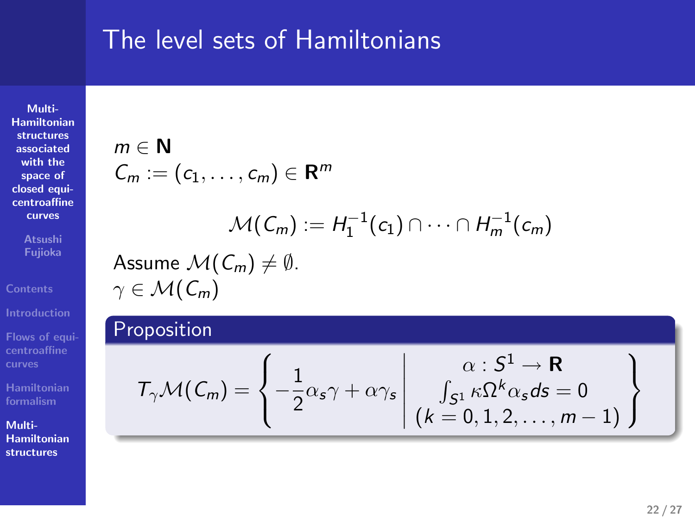### The level sets of Hamiltonians

**Multi-Hamiltonian structures associated with the space of closed equi-centroaffine curves**

**Atsushi Fujioka**

**Flows of equi-centroaffine curves**

**Multi-Hamiltonian structures**

**Hamiltonian formalism**

 $m \in \mathbb{N}$ 

The level sets of Hamiltonians  
\n
$$
m \in \mathbb{N}
$$
  
\n $C_m := (c_1, \ldots, c_m) \in \mathbb{R}^m$   
\n $\mathcal{M}(C_m) := H_1^{-1}(c_1) \cap \cdots \cap H_m^{-1}(c_m)$   
\nAssume  $\mathcal{M}(C_m) \neq \emptyset$ .  
\n $\gamma \in \mathcal{M}(C_m)$   
\nProposition

 $\mathcal{M}(\mathcal{C}_m) \neq \emptyset.$ 

The level sets of Hamiltonians  
\n
$$
\begin{aligned}\n\mathcal{C}_m &:= (\mathsf{c}_1, \ldots, \mathsf{c}_m) \in \mathbb{R}^m \\
\mathcal{C}_m &:= (\mathsf{c}_1, \ldots, \mathsf{c}_m) \in \mathbb{H}^m \\
\mathcal{M}(\mathsf{C}_m) &:= H_1^{-1}(\mathsf{c}_1) \cap \cdots \cap H_m^{-1}(\mathsf{c}_m) \\
\text{Assume } \mathcal{M}(\mathsf{C}_m) \neq \emptyset. \\
&\quad \uparrow \in \mathcal{M}(\mathsf{C}_m) \\
\text{Proposition} \\
\mathcal{T}_{\gamma} \mathcal{M}(\mathsf{C}_m) &:= \left\{ \begin{array}{c} 1 \\ -2^{\alpha_2 \gamma_1} + \alpha \gamma_2 \\ 2^{\alpha_3 \gamma_2} + \alpha \gamma_2 \\ 2^{\alpha_4 \gamma_3} + \alpha \gamma_1 \end{array} \middle| \begin{array}{c} \alpha : \mathsf{S}^1 \to \mathbb{R} \\ \vdots \\ \alpha : \mathsf{S}^1 \to \mathbb{R} \\ 0.1, 2, \ldots, m-1 \end{array} \right\}
$$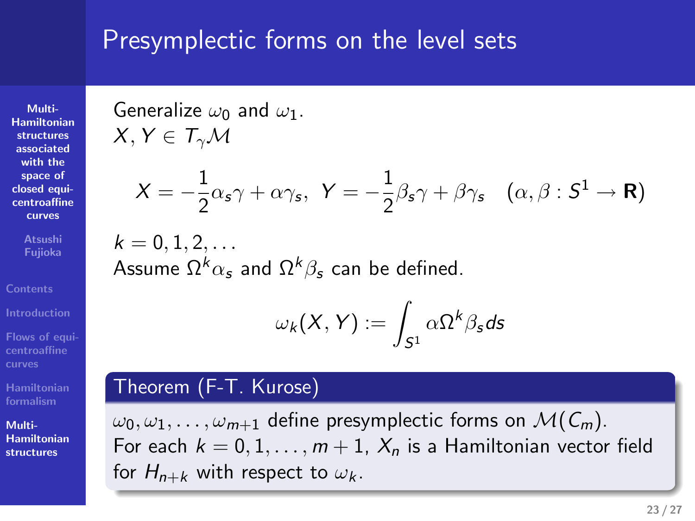### Presymplectic forms on the level sets

**Multi-Hamiltonian structures associated with the space of closed equi-centroaffine curves**

**Atsushi Fujioka**

**Flows of equi-centroaffine curves**

**Hamiltonian formalism**

**Multi-Hamiltonian structures** Generalize *ω*<sup>0</sup> and *ω*1.  $X, Y \in T_\gamma \mathcal{M}$ 

$$
X = -\frac{1}{2}\alpha_s \gamma + \alpha \gamma_s, \ \ Y = -\frac{1}{2}\beta_s \gamma + \beta \gamma_s \quad (\alpha, \beta : S^1 \to \mathbf{R})
$$

 $k = 0, 1, 2, \ldots$ Assume Ω*kα<sup>s</sup>* and Ω*kβ<sup>s</sup>* can be defined.

$$
\omega_k(X,Y):=\int_{\mathcal{S}^1} \alpha \Omega^k \beta_{\mathcal{S}} d\mathcal{S}
$$

### Theorem (F-T. Kurose)

*ω*0*, ω*1*, . . . , ωm*+1 define presymplectic forms on *M*(*Cm*). For each  $k = 0, 1, \ldots, m + 1$ ,  $X_n$  is a Hamiltonian vector field for  $H_{n+k}$  with respect to  $\omega_k$ .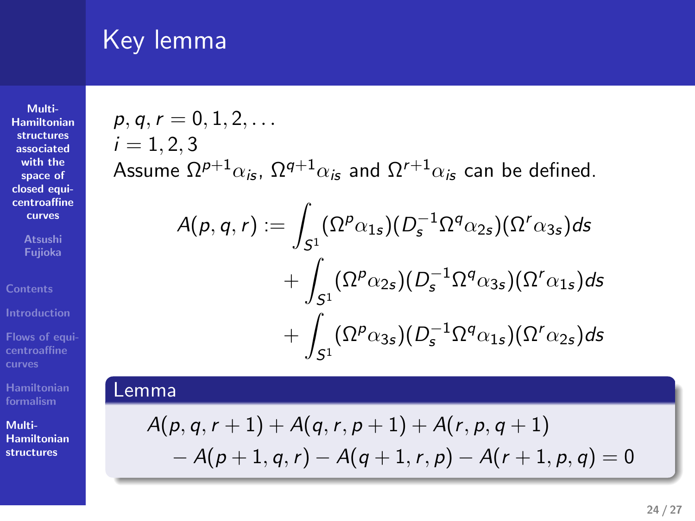### Key lemma

**Multi-Hamiltonian structures associated with the space of closed equi-centroaffine curves**

**Atsushi Fujioka**

**Flows of equi-centroaffine curves**

**Hamiltonian formalism Multi-Hamiltonian structures**  $p, q, r = 0, 1, 2, \ldots$  $i = 1, 2, 3$ 

Assume  $\Omega^{p+1}\alpha_{i\mathbf{s}},\,\Omega^{q+1}\alpha_{i\mathbf{s}}$  and  $\Omega^{r+1}\alpha_{i\mathbf{s}}$  can be defined.

Key lemma  
\n
$$
p, q, r = 0, 1, 2, ...
$$
\n
$$
i = 1, 2, 3
$$
\n
$$
A(p, q, r) := \int_{S^1} (\Omega^{\rho} \alpha_{12}) (\rho_{2}^{-1} \Omega^{\rho} \alpha_{22}) (\Omega^{\prime} \alpha_{32}) ds
$$
\n
$$
A(p, q, r) := \int_{S^1} (\Omega^{\rho} \alpha_{12}) (\rho_{2}^{-1} \Omega^{\rho} \alpha_{22}) (\Omega^{\prime} \alpha_{32}) ds
$$
\n
$$
+ \int_{S^1} (\Omega^{\rho} \alpha_{22}) (\rho_{2}^{-1} \Omega^{\rho} \alpha_{32}) (\Omega^{\prime} \alpha_{12}) ds
$$
\n
$$
+ \int_{S^1} (\Omega^{\rho} \alpha_{32}) (\rho_{2}^{-1} \Omega^{\rho} \alpha_{12}) (\Omega^{\prime} \alpha_{22}) ds
$$
\nLemma  
\n
$$
A(p, q, r + 1) + A(q, r, p + 1) + A(r, p, q + 1)
$$
\n
$$
-A(p + 1, q, r) - A(q + 1, r, p) - A(r + 1, p, q) = 0
$$
\n
$$
= A(p + 1, q, r) - A(q + 1, r, p) - A(r + 1, p, q) = 0
$$

 $A(p,q,r+1) + A(q,r,p+1) + A(r,p,q+1) \ - A(p+1,q,r) - A(q+1,r,p) - A(r+1,p,q) = 0$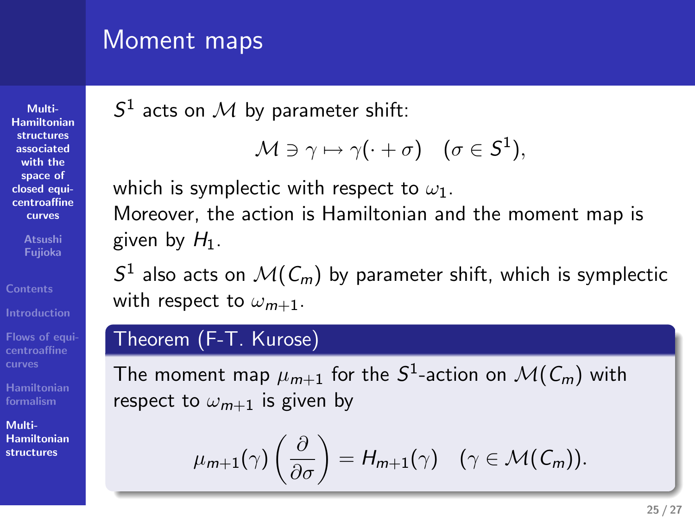### Moment maps

**Multi-Hamiltonian structures associated with the space of closed equi-centroaffine curves**

**Atsushi Fujioka**

**Flows of equi-centroaffine curves**

**Hamiltonian formalism**

**Multi-Hamiltonian structures**

### $S<sup>1</sup>$  acts on  $M$  by parameter shift:

$$
\mathcal{M} \ni \gamma \mapsto \gamma(\cdot + \sigma) \quad (\sigma \in \mathcal{S}^1),
$$

which is symplectic with respect to  $\omega_1.$ 

Moreover, the action is Hamiltonian and the moment map is given by *H* 1.

 $S^1$  also acts on  $\mathcal{M}(\mathcal{C}_m)$  by parameter shift, which is symplectic with respect to *ω* parameter shift:<br>  $\theta \ge \gamma \mapsto \gamma(-\tau) \quad (\tau \in S'),$ <br>  $\theta \ge \gamma \mapsto (\gamma(-\tau))$ <br>  $\alpha$  is using the respect to  $\omega_1$ .<br>  $\alpha(\zeta_1)$  by parameter shift, which is symplectic<br>  $\alpha \in S$ . Adment maps<br>  $S^1$  ests on  $\mathcal{M}$  by parameter shift:<br>  $\mathcal{M} = \gamma \rightarrow \gamma' + \sigma$  )  $(\sigma \in S')$ ,<br>
which is considered with register to  $\omega_{\text{st}}$ <br>
blowever. He action is Houston to and the moment map is<br>
given by Fr. ,<br>  $\alpha A$  is Moment maps<br>  $S$  with an  $M$  by parameteral all<br>  $M \le \gamma_1 \cdot \epsilon(\cdot + \sigma)$   $\{ \sigma \in S^1 \}$ ,<br>  $M \le \gamma_1 \cdot \epsilon(\cdot + \sigma)$   $\{ \sigma \in S^1 \}$ ,<br>
where the calculated interaction and the moment map is<br>  $S$  allows that  $M(G_n)$  by parameter with, wh

The moment map  $\mu_{m+1}$  for the  $S^1$ -action on  $\mathcal{M}(\mathcal{C}_m)$  with respect to  $\omega_{m+1}$  is given by

$$
\mu_{m+1}(\gamma)\left(\frac{\partial}{\partial\sigma}\right)=H_{m+1}(\gamma)\quad(\gamma\in\mathcal{M}(\mathcal{C}_m)).
$$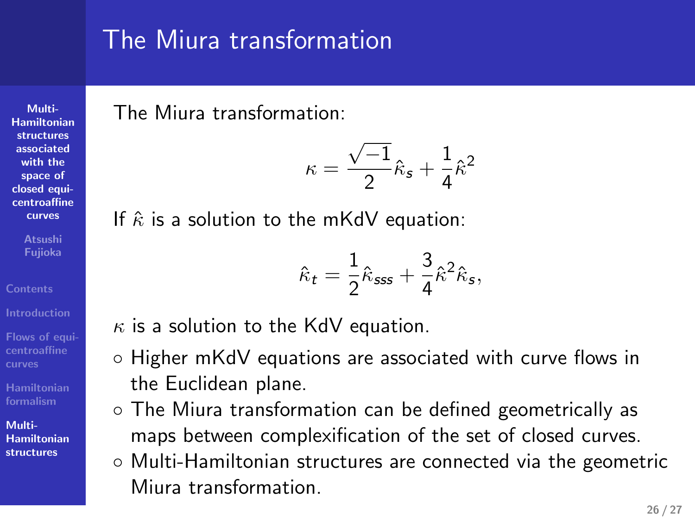### The Miura transformation

 $\kappa =$ 

 $\hat{\kappa}_t = \frac{1}{2}$ 

If  $\hat{\kappa}$  is a solution to the mKdV equation:

*κ* is a solution to the KdV equation.

*√ −*1  $\frac{(-1)}{2}\hat{\kappa}_s + \frac{1}{4}$ 

4 *κ*ˆ 2

 $\frac{3}{4}\hat{\kappa}^2\hat{\kappa}_s$ ,

The Miura transformation:

the Euclidean plane.

**Hamiltonian structures associated with the space of closed equicentroaffine curves**

**Multi-**

**Atsushi Fujioka**

**Contents**

**Introduction centroaffine curves**

**Hamiltonian formalism Multi-Hamiltonian**

- **structures**
- maps between complexification of the set of closed curves. *◦* Multi-Hamiltonian structures are connected via the geometric Miura transformation.

 $\frac{1}{2}\hat{\kappa}_{\mathsf{sss}} + \frac{3}{4}$ 

*◦* Higher mKdV equations are associated with curve flows in

*◦* The Miura transformation can be defined geometrically as